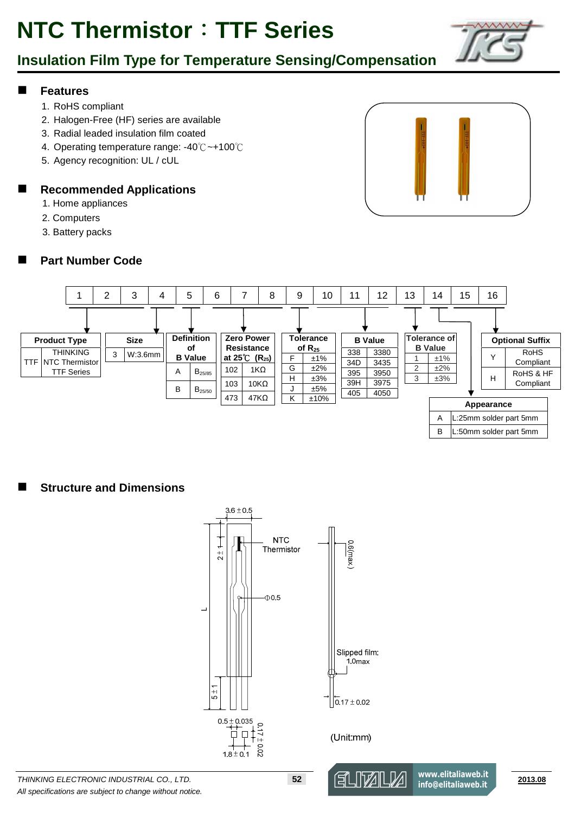### **Insulation Film Type for Temperature Sensing/Compensation**

#### **Features**

- 1. RoHS compliant
- 2. Halogen-Free (HF) series are available
- 3. Radial leaded insulation film coated
- 4. Operating temperature range: -40℃ ~+100℃
- 5. Agency recognition: UL / cUL

#### **Recommended Applications**

- 1. Home appliances
- 2. Computers
- 3. Battery packs

### **Part Number Code**





### **Structure and Dimensions**

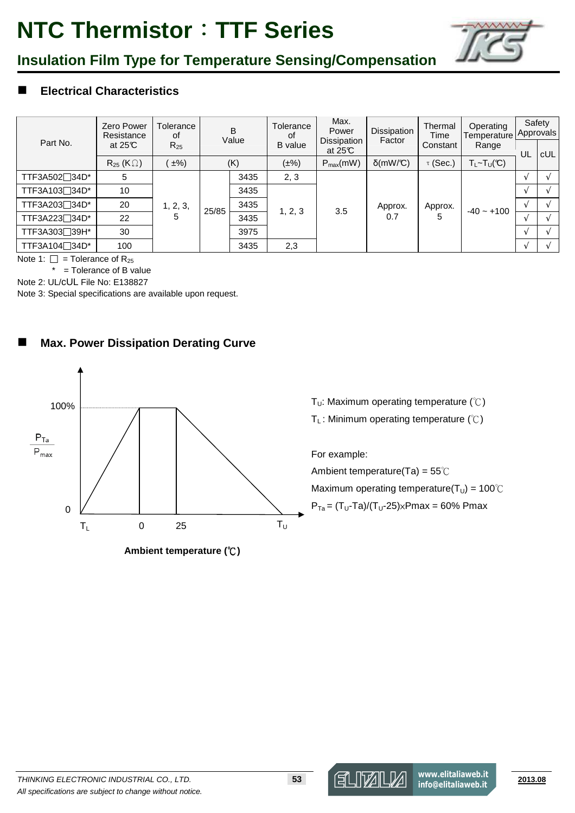

### **Insulation Film Type for Temperature Sensing/Compensation**

### **Electrical Characteristics**

| Part No.                   | <b>Zero Power</b><br>Resistance<br>at $25C$ | Tolerance<br>οf<br>$R_{25}$ | B<br>Value |      | Tolerance<br>οf<br><b>B</b> value | Max.<br>Power<br>Dissipation<br>at $25C$ | Dissipation<br>Factor | Thermal<br>Time<br>Constant | Operating<br>Temperature<br>Range | Safety<br>Approvals |            |
|----------------------------|---------------------------------------------|-----------------------------|------------|------|-----------------------------------|------------------------------------------|-----------------------|-----------------------------|-----------------------------------|---------------------|------------|
|                            |                                             |                             |            |      |                                   |                                          |                       |                             |                                   | UL                  | <b>cUL</b> |
|                            | $R_{25}$ (K $\Omega$ )                      | $\pm\%$ )                   |            | (K)  | $(\pm\%)$                         | $P_{max}(mW)$                            | $\delta$ (mW/C)       | $\tau$ (Sec.)               | $T_{L}$ ~ $T_U(\mathfrak{C})$     |                     |            |
| TTF3A502 <sup>34D*</sup>   | 5                                           | 1, 2, 3,<br>5               | 25/85      | 3435 | 2, 3                              | 3.5                                      | Approx.<br>0.7        | Approx.<br>5                | $-40 - +100$                      |                     |            |
| TTF3A103 <sup>34D*</sup>   | 10                                          |                             |            | 3435 | 1, 2, 3                           |                                          |                       |                             |                                   |                     |            |
| TTF3A203 <sup>34D*</sup>   | 20                                          |                             |            | 3435 |                                   |                                          |                       |                             |                                   |                     |            |
| TTF3A223 <sup>7</sup> 34D* | 22                                          |                             |            | 3435 |                                   |                                          |                       |                             |                                   |                     |            |
| TTF3A303 <sup>39H*</sup>   | 30                                          |                             |            | 3975 |                                   |                                          |                       |                             |                                   |                     |            |
| TTF3A104 <sup>734D*</sup>  | 100                                         |                             |            | 3435 | 2,3                               |                                          |                       |                             |                                   |                     |            |

Note 1:  $\Box$  = Tolerance of R<sub>25</sub>

 $*$  = Tolerance of B value

Note 2: UL/cUL File No: E138827

Note 3: Special specifications are available upon request.

### **Max. Power Dissipation Derating Curve**



**Ambient temperature (°C)** 

T<sub>U</sub>: Maximum operating temperature  $(\mathcal{C})$ 

T<sub>L</sub>: Minimum operating temperature  $(\mathcal{C})$ 

For example:

Ambient temperature(Ta) = 55℃

Maximum operating temperature( $T_U$ ) = 100°C  $P_{Ta} = (T_U - Ta)/(T_U - 25) \times Pmax = 60\% Pmax$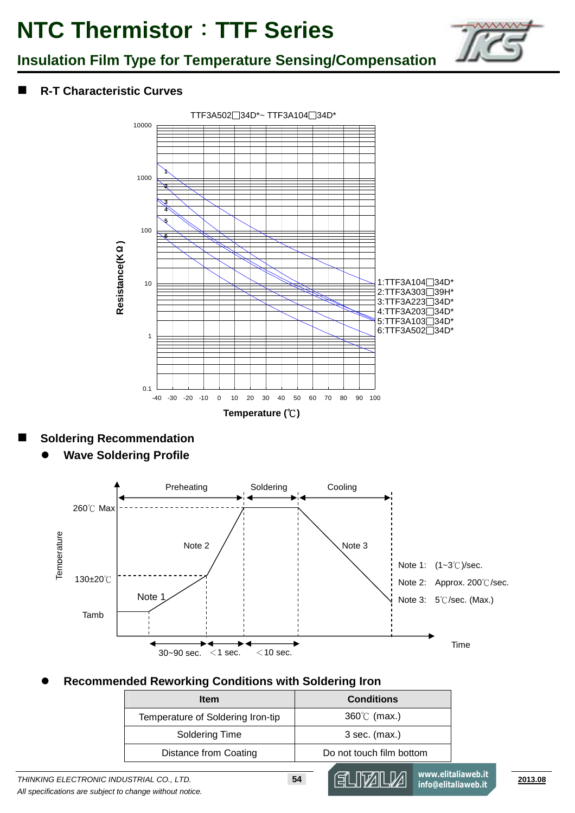

### **Insulation Film Type for Temperature Sensing/Compensation**

### **R-T Characteristic Curves**



### **Soldering Recommendation**

 $\bullet$ **Wave Soldering Profile**



#### $\bullet$ **Recommended Reworking Conditions with Soldering Iron**

| <b>Item</b>                       | <b>Conditions</b>        |
|-----------------------------------|--------------------------|
| Temperature of Soldering Iron-tip | $360^{\circ}$ (max.)     |
| Soldering Time                    | $3$ sec. (max.)          |
| Distance from Coating             | Do not touch film bottom |

**www.elitaliaweb.it info@elitaliaweb.it**